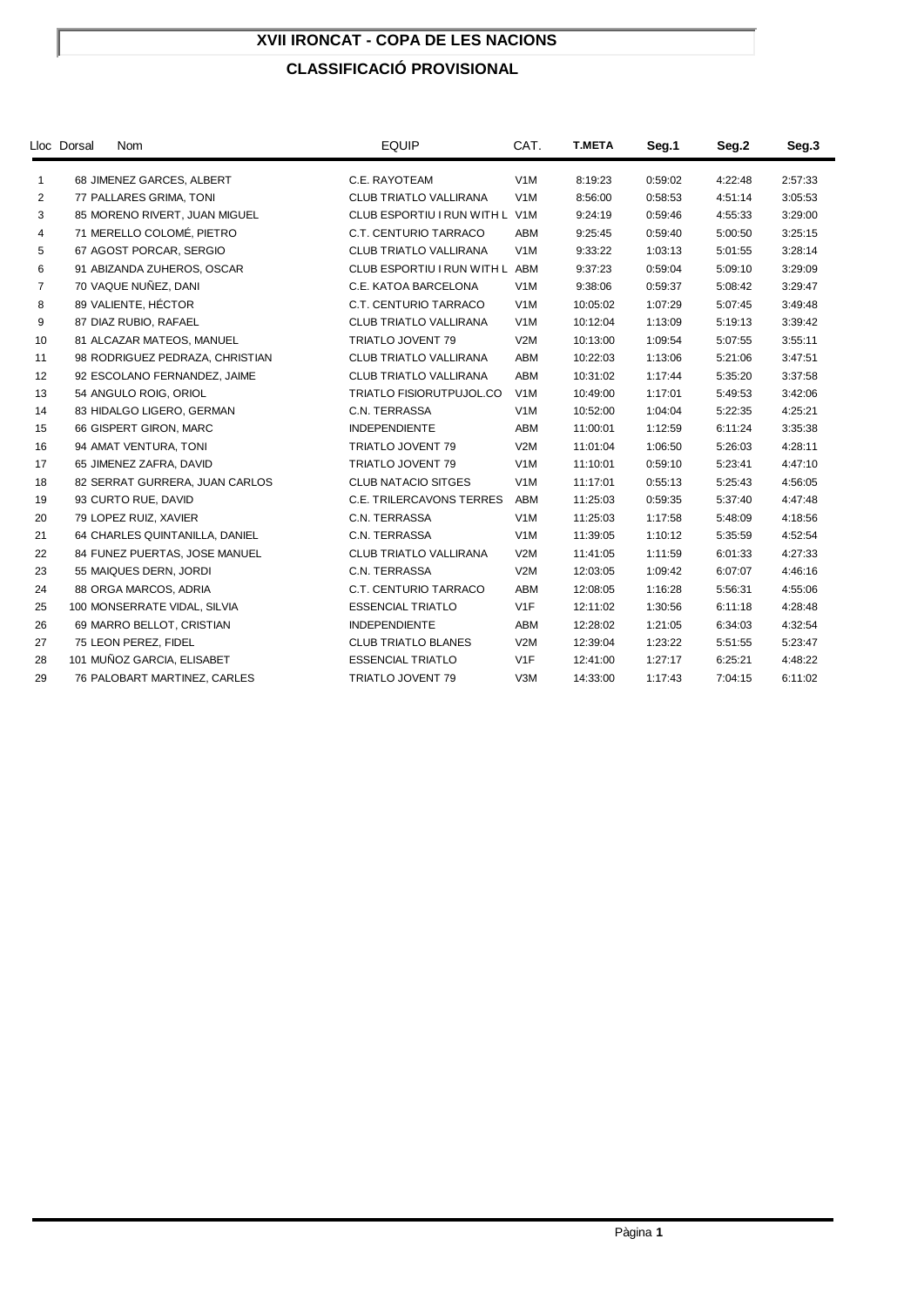#### **XVII IRONCAT - COPA DE LES NACIONS**

#### **CLASSIFICACIÓ PROVISIONAL**

|                | <b>Nom</b><br>Lloc Dorsal       | <b>EQUIP</b>                    | CAT.             | <b>T.META</b> | Seg.1   | Seg.2   | Seg <sub>3</sub> |
|----------------|---------------------------------|---------------------------------|------------------|---------------|---------|---------|------------------|
| 1              | 68 JIMENEZ GARCES, ALBERT       | C.E. RAYOTEAM                   | V1M              | 8:19:23       | 0:59:02 | 4:22:48 | 2:57:33          |
| 2              | 77 PALLARES GRIMA, TONI         | CLUB TRIATLO VALLIRANA          | V1M              | 8:56:00       | 0:58:53 | 4:51:14 | 3:05:53          |
| 3              | 85 MORENO RIVERT, JUAN MIGUEL   | CLUB ESPORTIU I RUN WITH L V1M  |                  | 9:24:19       | 0:59:46 | 4:55:33 | 3:29:00          |
| 4              | 71 MERELLO COLOMÉ, PIETRO       | C.T. CENTURIO TARRACO           | ABM              | 9:25:45       | 0:59:40 | 5:00:50 | 3:25:15          |
| 5              | 67 AGOST PORCAR, SERGIO         | CLUB TRIATLO VALLIRANA          | V <sub>1</sub> M | 9:33:22       | 1:03:13 | 5:01:55 | 3:28:14          |
| 6              | 91 ABIZANDA ZUHEROS, OSCAR      | CLUB ESPORTIU I RUN WITH L ABM  |                  | 9:37:23       | 0:59:04 | 5:09:10 | 3:29:09          |
| $\overline{7}$ | 70 VAQUE NUÑEZ, DANI            | C.E. KATOA BARCELONA            | V <sub>1</sub> M | 9:38:06       | 0:59:37 | 5:08:42 | 3:29:47          |
| 8              | 89 VALIENTE, HÉCTOR             | C.T. CENTURIO TARRACO           | V <sub>1</sub> M | 10:05:02      | 1:07:29 | 5:07:45 | 3:49:48          |
| 9              | 87 DIAZ RUBIO, RAFAEL           | <b>CLUB TRIATLO VALLIRANA</b>   | V <sub>1</sub> M | 10:12:04      | 1:13:09 | 5:19:13 | 3:39:42          |
| 10             | 81 ALCAZAR MATEOS, MANUEL       | TRIATLO JOVENT 79               | V2M              | 10:13:00      | 1:09:54 | 5:07:55 | 3:55:11          |
| 11             | 98 RODRIGUEZ PEDRAZA, CHRISTIAN | CLUB TRIATLO VALLIRANA          | ABM              | 10:22:03      | 1:13:06 | 5:21:06 | 3:47:51          |
| 12             | 92 ESCOLANO FERNANDEZ, JAIME    | CLUB TRIATLO VALLIRANA          | ABM              | 10:31:02      | 1:17:44 | 5:35:20 | 3:37:58          |
| 13             | 54 ANGULO ROIG, ORIOL           | TRIATLO FISIORUTPUJOL.CO        | V <sub>1</sub> M | 10:49:00      | 1:17:01 | 5:49:53 | 3:42:06          |
| 14             | 83 HIDALGO LIGERO, GERMAN       | C.N. TERRASSA                   | V <sub>1</sub> M | 10:52:00      | 1:04:04 | 5:22:35 | 4:25:21          |
| 15             | 66 GISPERT GIRON, MARC          | <b>INDEPENDIENTE</b>            | ABM              | 11:00:01      | 1:12:59 | 6:11:24 | 3:35:38          |
| 16             | 94 AMAT VENTURA, TONI           | TRIATLO JOVENT 79               | V2M              | 11:01:04      | 1:06:50 | 5:26:03 | 4:28:11          |
| 17             | 65 JIMENEZ ZAFRA, DAVID         | TRIATLO JOVENT 79               | V1M              | 11:10:01      | 0:59:10 | 5:23:41 | 4:47:10          |
| 18             | 82 SERRAT GURRERA, JUAN CARLOS  | <b>CLUB NATACIO SITGES</b>      | V <sub>1</sub> M | 11:17:01      | 0:55:13 | 5:25:43 | 4:56:05          |
| 19             | 93 CURTO RUE, DAVID             | <b>C.E. TRILERCAVONS TERRES</b> | <b>ABM</b>       | 11:25:03      | 0:59:35 | 5:37:40 | 4:47:48          |
| 20             | 79 LOPEZ RUIZ, XAVIER           | C.N. TERRASSA                   | V <sub>1</sub> M | 11:25:03      | 1:17:58 | 5:48:09 | 4:18:56          |
| 21             | 64 CHARLES QUINTANILLA, DANIEL  | C.N. TERRASSA                   | V <sub>1</sub> M | 11:39:05      | 1:10:12 | 5:35:59 | 4:52:54          |
| 22             | 84 FUNEZ PUERTAS, JOSE MANUEL   | <b>CLUB TRIATLO VALLIRANA</b>   | V2M              | 11:41:05      | 1:11:59 | 6:01:33 | 4:27:33          |
| 23             | 55 MAIQUES DERN, JORDI          | C.N. TERRASSA                   | V2M              | 12:03:05      | 1:09:42 | 6:07:07 | 4:46:16          |
| 24             | 88 ORGA MARCOS, ADRIA           | C.T. CENTURIO TARRACO           | ABM              | 12:08:05      | 1:16:28 | 5:56:31 | 4:55:06          |
| 25             | 100 MONSERRATE VIDAL, SILVIA    | <b>ESSENCIAL TRIATLO</b>        | V1F              | 12:11:02      | 1:30:56 | 6:11:18 | 4:28:48          |
| 26             | 69 MARRO BELLOT, CRISTIAN       | <b>INDEPENDIENTE</b>            | ABM              | 12:28:02      | 1:21:05 | 6:34:03 | 4:32:54          |
| 27             | 75 LEON PEREZ, FIDEL            | <b>CLUB TRIATLO BLANES</b>      | V2M              | 12:39:04      | 1:23:22 | 5:51:55 | 5:23:47          |
| 28             | 101 MUÑOZ GARCIA, ELISABET      | <b>ESSENCIAL TRIATLO</b>        | V1F              | 12:41:00      | 1:27:17 | 6:25:21 | 4:48:22          |
| 29             | 76 PALOBART MARTINEZ, CARLES    | TRIATLO JOVENT 79               | V3M              | 14:33:00      | 1:17:43 | 7:04:15 | 6:11:02          |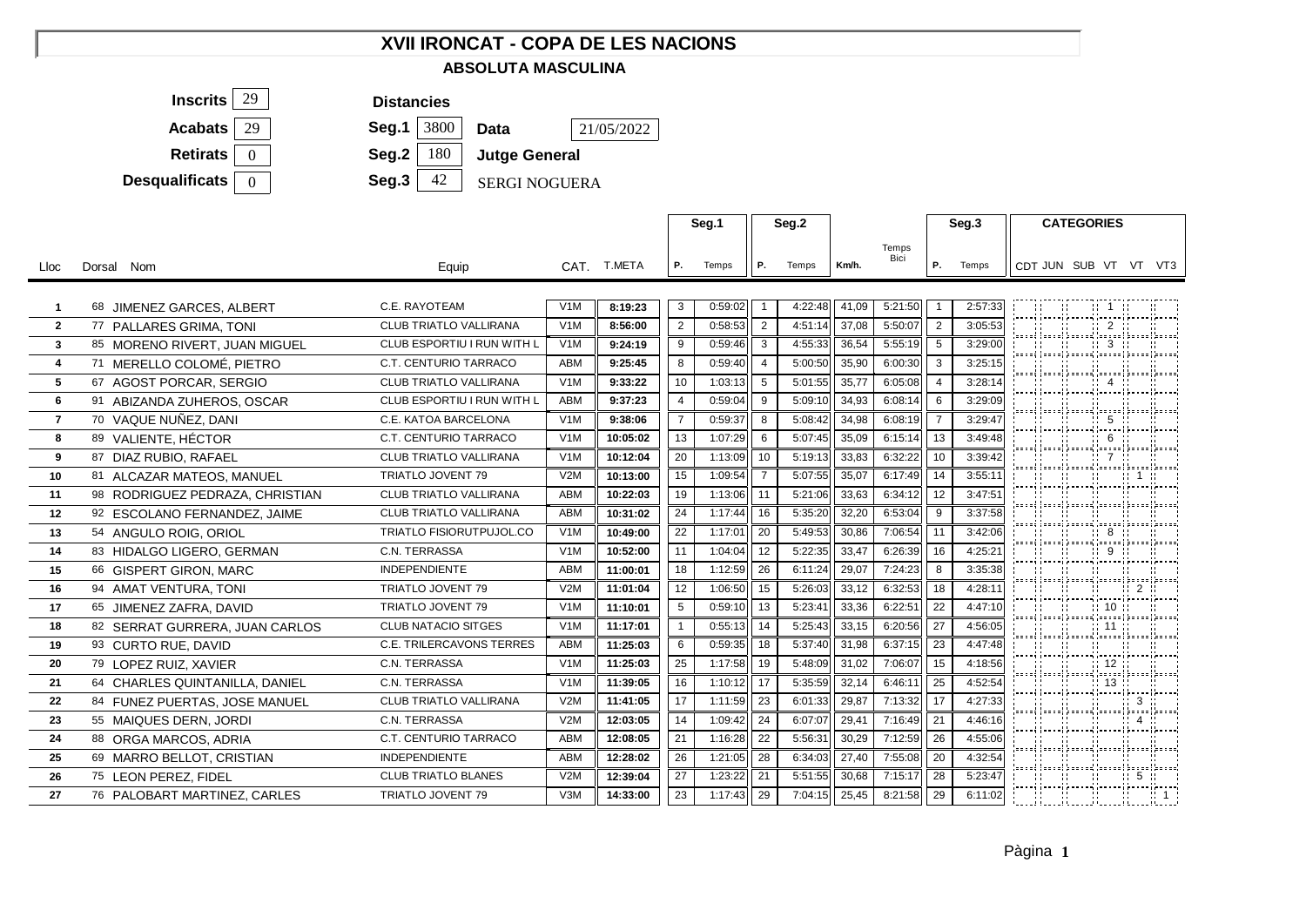## **XVII IRONCAT - COPA DE LES NACIONS ABSOLUTA MASCULINA**



- **Data**
	-
	- **Jutge General**

42 SERGI NOGUERA

|                |                                 |                               |                  |             |                | Seg.2<br>Seg.1 |                |         |       | Seg.3         |                | <b>CATEGORIES</b> |  |                                                                                   |                                                                                             |                                      |                             |  |
|----------------|---------------------------------|-------------------------------|------------------|-------------|----------------|----------------|----------------|---------|-------|---------------|----------------|-------------------|--|-----------------------------------------------------------------------------------|---------------------------------------------------------------------------------------------|--------------------------------------|-----------------------------|--|
| Lloc           | Dorsal Nom                      | Equip                         |                  | CAT. T.META | Р.             | Temps          | Р.             | Temps   | Km/h. | Temps<br>Bici | Р.             | Temps             |  |                                                                                   | CDT JUN SUB VT VT VT3                                                                       |                                      |                             |  |
| 1              | 68 JIMENEZ GARCES, ALBERT       | C.E. RAYOTEAM                 | V1M              | 8:19:23     | 3              | 0:59:02        |                | 4:22:48 | 41,09 | 5:21:50       | $\overline{1}$ | 2:57:33           |  |                                                                                   | $\mathbf{11}$ 1                                                                             |                                      |                             |  |
| $\overline{2}$ | 77 PALLARES GRIMA, TONI         | CLUB TRIATLO VALLIRANA        | V <sub>1</sub> M | 8:56:00     | $\overline{2}$ | 0:58:53        | $\overline{2}$ | 4:51:14 | 37,08 | 5:50:07       | 2              | 3:05:53           |  |                                                                                   |                                                                                             | 2                                    |                             |  |
| $\mathbf{3}$   | 85 MORENO RIVERT, JUAN MIGUEL   | CLUB ESPORTIU I RUN WITH L    | V1M              | 9:24:19     | 9              | 0:59:46        | 3              | 4:55:33 | 36,54 | 5:55:19       | 5              | 3:29:00           |  | $\mathcal{M}=\mathcal{M}$ .                                                       | ;====; ;====; ;=====; ;=====; ;=====; ;=====;<br>:=={ }====! }====={ }====={ }=====!}}====; | $\mathbb{H}$ 3 $\mathbb{H}$          |                             |  |
| $\overline{4}$ | 71 MERELLO COLOMÉ, PIETRO       | C.T. CENTURIO TARRACO         | ABM              | 9:25:45     | 8              | 0:59:40        | $\overline{4}$ | 5:00:50 | 35,90 | 6:00:30       | 3              | 3:25:15           |  |                                                                                   | and and an interest of the sense of the<br>[sooo] [sooo] [soooo] [soooo] [sooo][soooo]      |                                      |                             |  |
| 5              | 67 AGOST PORCAR, SERGIO         | CLUB TRIATLO VALLIRANA        | V1M              | 9:33:22     | 10             | 1:03:13        | 5              | 5:01:55 | 35,77 | 6:05:08       | $\overline{4}$ | 3:28:14           |  |                                                                                   | $\frac{11}{2}$ 4<br> ----{ ----  -----{ -----{ -----  ----                                  |                                      |                             |  |
| 6              | 91 ABIZANDA ZUHEROS, OSCAR      | CLUB ESPORTIU I RUN WITH L    | <b>ABM</b>       | 9:37:23     | $\overline{4}$ | 0:59:04        | 9              | 5:09:10 | 34,93 | 6:08:14       | 6              | 3:29:09           |  |                                                                                   |                                                                                             |                                      |                             |  |
| $\overline{7}$ | 70 VAQUE NUÑEZ, DANI            | C.E. KATOA BARCELONA          | V1M              | 9:38:06     | $\overline{7}$ | 0:59:37        | 8              | 5:08:42 | 34,98 | 6:08:19       | $\overline{7}$ | 3:29:47           |  |                                                                                   | $\mathbf{11}$ 5                                                                             |                                      |                             |  |
| 8              | 89 VALIENTE, HÉCTOR             | C.T. CENTURIO TARRACO         | V1M              | 10:05:02    | 13             | 1:07:29        | 6              | 5:07:45 | 35,09 | 6:15:14       | 13             | 3:49:48           |  | an an                                                                             |                                                                                             | 6                                    |                             |  |
| 9              | 87 DIAZ RUBIO, RAFAEL           | <b>CLUB TRIATLO VALLIRANA</b> | V <sub>1</sub> M | 10:12:04    | 20             | 1:13:09        | 10             | 5:19:13 | 33,83 | 6:32:22       | 10             | 3:39:42           |  | <b>All States</b>                                                                 | ----  ----  -----  -----  ----  ----                                                        | -11 7 H                              |                             |  |
| 10             | 81 ALCAZAR MATEOS, MANUEL       | TRIATLO JOVENT 79             | V2M              | 10:13:00    | 15             | 1:09:54        |                | 5:07:55 | 35,07 | 6:17:49       | 14             | 3:55:11           |  |                                                                                   | and a control of the second state<br>;====; ;====; ;=====; ;=====; ;=====;;=====            |                                      | $\mathbb{Z}$ 1 $\mathbb{Z}$ |  |
| 11             | 98 RODRIGUEZ PEDRAZA, CHRISTIAN | CLUB TRIATLO VALLIRANA        | <b>ABM</b>       | 10:22:03    | 19             | 1:13:06        | 11             | 5:21:06 | 33,63 | 6:34:12       | 12             | 3:47:51           |  |                                                                                   | <b>COLOR</b><br>{===={ }===={ }====={ }====={ }====={}====={                                | $\mathbf{u}$                         |                             |  |
| 12             | 92 ESCOLANO FERNANDEZ, JAIME    | CLUB TRIATLO VALLIRANA        | ABM              | 10:31:02    | 24             | 1:17:44        | 16             | 5:35:20 | 32,20 | 6:53:04       | 9              | 3:37:58           |  |                                                                                   | [poos] [poos] [poos] [pooss] [pooss][pooss]                                                 |                                      |                             |  |
| 13             | 54 ANGULO ROIG, ORIOL           | TRIATLO FISIORUTPUJOL.CO      | V1M              | 10:49:00    | 22             | 1:17:01        | 20             | 5:49:53 | 30,86 | 7:06:54       | 11             | 3:42:06           |  |                                                                                   | $\frac{1}{2}$ 8<br>(===={ }===={ }====={ }====={ }====}}===={                               |                                      |                             |  |
| 14             | 83 HIDALGO LIGERO, GERMAN       | C.N. TERRASSA                 | V1M              | 10:52:00    | 11             | 1:04:04        | 12             | 5:22:35 | 33,47 | 6:26:39       | 16             | 4:25:21           |  | 11  11                                                                            |                                                                                             | 9                                    |                             |  |
| 15             | 66 GISPERT GIRON, MARC          | <b>INDEPENDIENTE</b>          | <b>ABM</b>       | 11:00:01    | 18             | 1:12:59        | 26             | 6:11:24 | 29,07 | 7:24:23       | 8              | 3:35:38           |  | <b>Allen Mars</b>                                                                 | ;====; ;====; ;=====; ;=====; ;====; ;=====                                                 |                                      |                             |  |
| 16             | 94 AMAT VENTURA, TONI           | TRIATLO JOVENT 79             | V2M              | 11:01:04    | 12             | 1:06:50        | 15             | 5:26:03 | 33,12 | 6:32:53       | 18             | 4:28:11           |  | Albert March                                                                      | $\pm 1$                                                                                     |                                      | - 11 2 11                   |  |
| 17             | 65 JIMENEZ ZAFRA, DAVID         | TRIATLO JOVENT 79             | V1M              | 11:10:01    | 5              | 0:59:10        | 13             | 5:23:41 | 33,36 | 6:22:51       | 22             | 4:47:10           |  | <b>Allen Mars</b>                                                                 |                                                                                             | $\frac{1}{2}$ 10 $\frac{1}{2}$       |                             |  |
| 18             | 82 SERRAT GURRERA, JUAN CARLOS  | <b>CLUB NATACIO SITGES</b>    | V1M              | 11:17:01    | $\mathbf{1}$   | 0:55:13        | 14             | 5:25:43 | 33,15 | 6:20:56       | 27             | 4:56:05           |  |                                                                                   | ----{}----{}-----{}-----{}-----{}                                                           | $\frac{11}{11}$ 11 $\frac{11}{11}$   |                             |  |
| 19             | 93 CURTO RUE, DAVID             | C.E. TRILERCAVONS TERRES      | <b>ABM</b>       | 11:25:03    | 6              | 0:59:35        | 18             | 5:37:40 | 31,98 | 6:37:15       | 23             | 4:47:48           |  | <b>THE TEN</b>                                                                    |                                                                                             |                                      |                             |  |
| 20             | 79 LOPEZ RUIZ, XAVIER           | C.N. TERRASSA                 | V1M              | 11:25:03    | 25             | 1:17:58        | 19             | 5:48:09 | 31,02 | 7:06:07       | 15             | 4:18:56           |  | $\mathcal{M}^{\text{max}}_{\text{max}}$ , $\mathcal{M}^{\text{max}}_{\text{max}}$ | {===={ }===={ }====={ }====={ }====}}====;                                                  | $\frac{11}{211}$ 12 $\frac{11}{211}$ |                             |  |
| 21             | 64 CHARLES QUINTANILLA, DANIEL  | C.N. TERRASSA                 | V1M              | 11:39:05    | 16             | 1:10:12        | 17             | 5:35:59 | 32,14 | 6:46:11       | 25             | 4:52:54           |  | <b>The Hotel</b>                                                                  |                                                                                             | $\frac{11}{21}$ 13 $\frac{11}{21}$   |                             |  |
| 22             | 84 FUNEZ PUERTAS, JOSE MANUEL   | CLUB TRIATLO VALLIRANA        | V2M              | 11:41:05    | 17             | 1:11:59        | 23             | 6:01:33 | 29,87 | 7:13:32       | 17             | 4:27:33           |  | $-11$ $-11$ $-1$                                                                  |                                                                                             |                                      | $\mathbb{H}$ 3 $\mathbb{H}$ |  |
| 23             | 55 MAIQUES DERN, JORDI          | C.N. TERRASSA                 | V2M              | 12:03:05    | 14             | 1:09:42        | 24             | 6:07:07 | 29,41 | 7:16:49       | 21             | 4:46:16           |  |                                                                                   | 第二节 第二                                                                                      | $\mathbf{1}$                         | $4 \cdot$                   |  |
| 24             | 88 ORGA MARCOS, ADRIA           | C.T. CENTURIO TARRACO         | <b>ABM</b>       | 12:08:05    | 21             | 1:16:28        | 22             | 5:56:31 | 30,29 | 7:12:59       | 26             | 4:55:06           |  |                                                                                   | aaaad (aaaad (aaaad (aaaaad (aaaad) (aaaa                                                   |                                      |                             |  |
| 25             | 69 MARRO BELLOT, CRISTIAN       | <b>INDEPENDIENTE</b>          | <b>ABM</b>       | 12:28:02    | 26             | 1:21:05        | 28             | 6:34:03 | 27,40 | 7:55:08       | 20             | 4:32:54           |  |                                                                                   | and the second<br>-11 -<br>;====; ;====; ;=====; ;=====; ;====; ;====;;                     |                                      |                             |  |
| 26             | 75 LEON PEREZ, FIDEL            | <b>CLUB TRIATLO BLANES</b>    | V2M              | 12:39:04    | 27             | 1:23:22        | 21             | 5:51:55 | 30,68 | 7:15:17       | 28             | 5:23:47           |  | - 11                                                                              | $\pm 1$<br>jaaaa ( jaaaa ) jaaaaa ( jaaaaa ( jaaaa) jaaaaa (                                |                                      | 5 :                         |  |
| 27             | 76 PALOBART MARTINEZ, CARLES    | TRIATLO JOVENT 79             | V3M              | 14:33:00    | 23             | 1:17:43        | 29             | 7:04:15 | 25,45 | 8:21:58       | 29             | 6:11:02           |  |                                                                                   |                                                                                             |                                      |                             |  |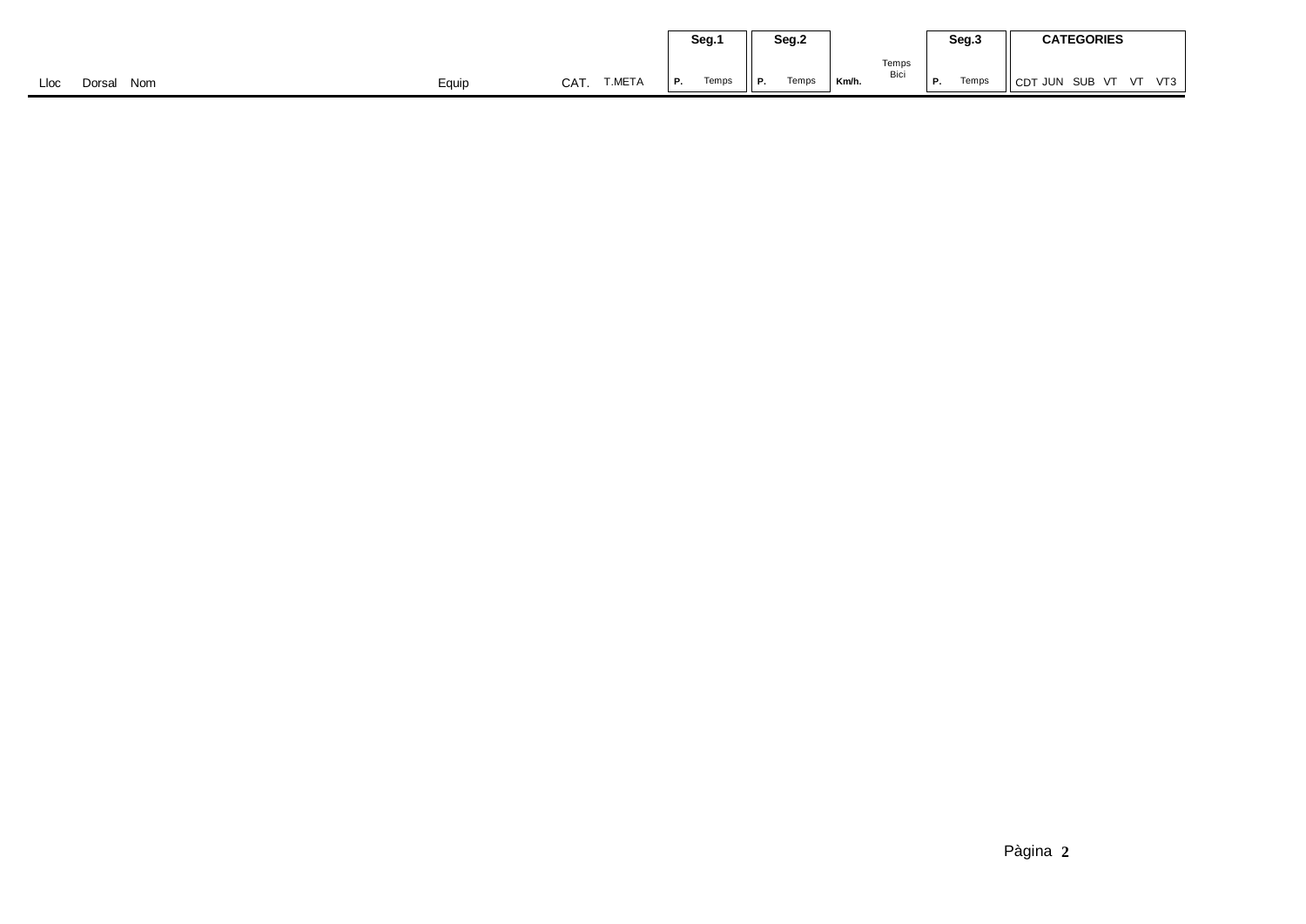|                       |       |     |        |    | Seg.1 | Seg.2 |                          |       | Seg.3         |    |       | <b>CATEGORIES</b>           |  |  |
|-----------------------|-------|-----|--------|----|-------|-------|--------------------------|-------|---------------|----|-------|-----------------------------|--|--|
|                       |       |     |        |    |       |       | $\overline{\phantom{a}}$ |       | Temps<br>Bici |    |       |                             |  |  |
| Nom<br>Lloc<br>Dorsal | Equip | CAT | T.META | P. | Temps | Р.    | Temps                    | Km/h. |               | Р. | Temps | CDT JUN SUB VT<br>VT3<br>VT |  |  |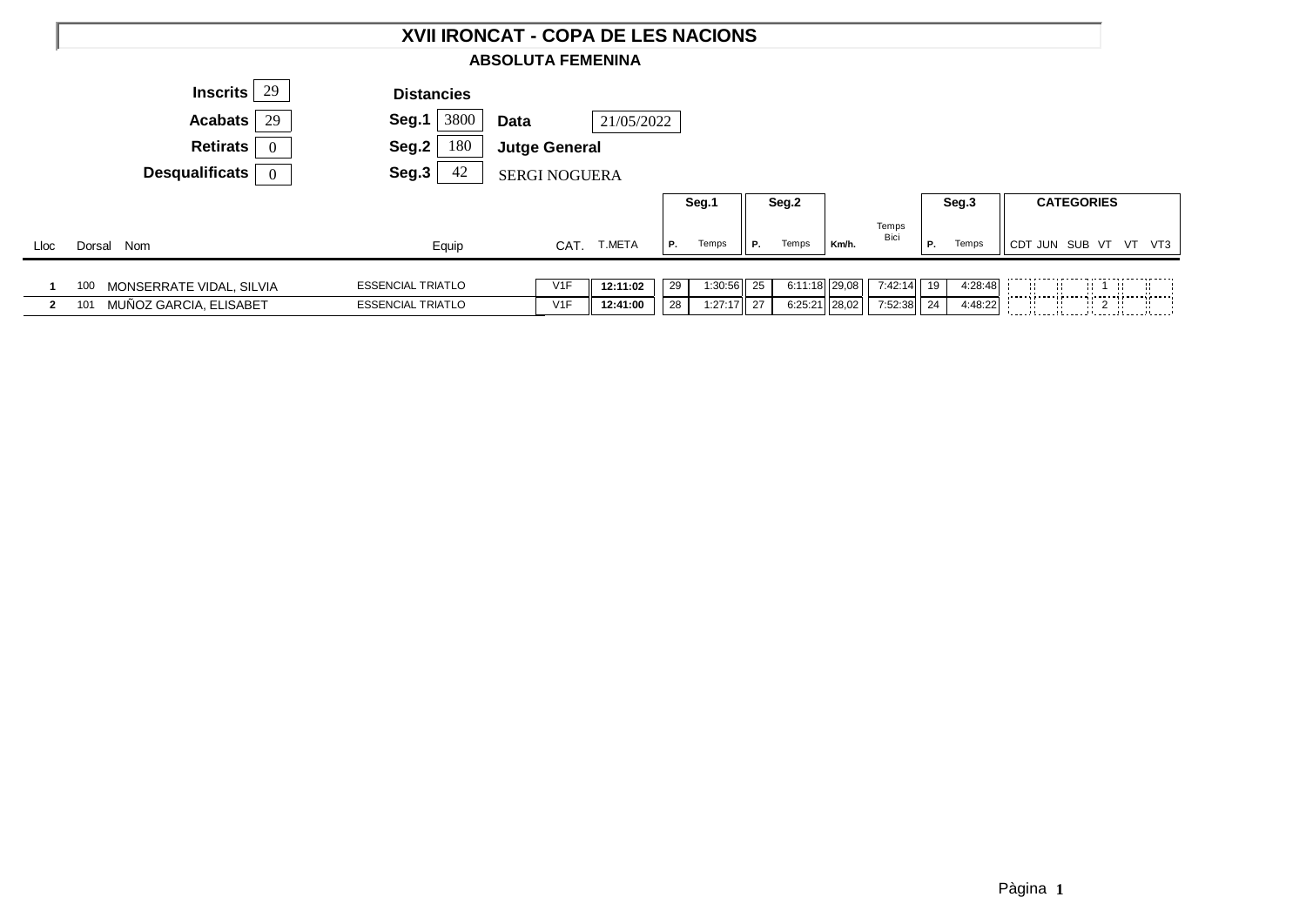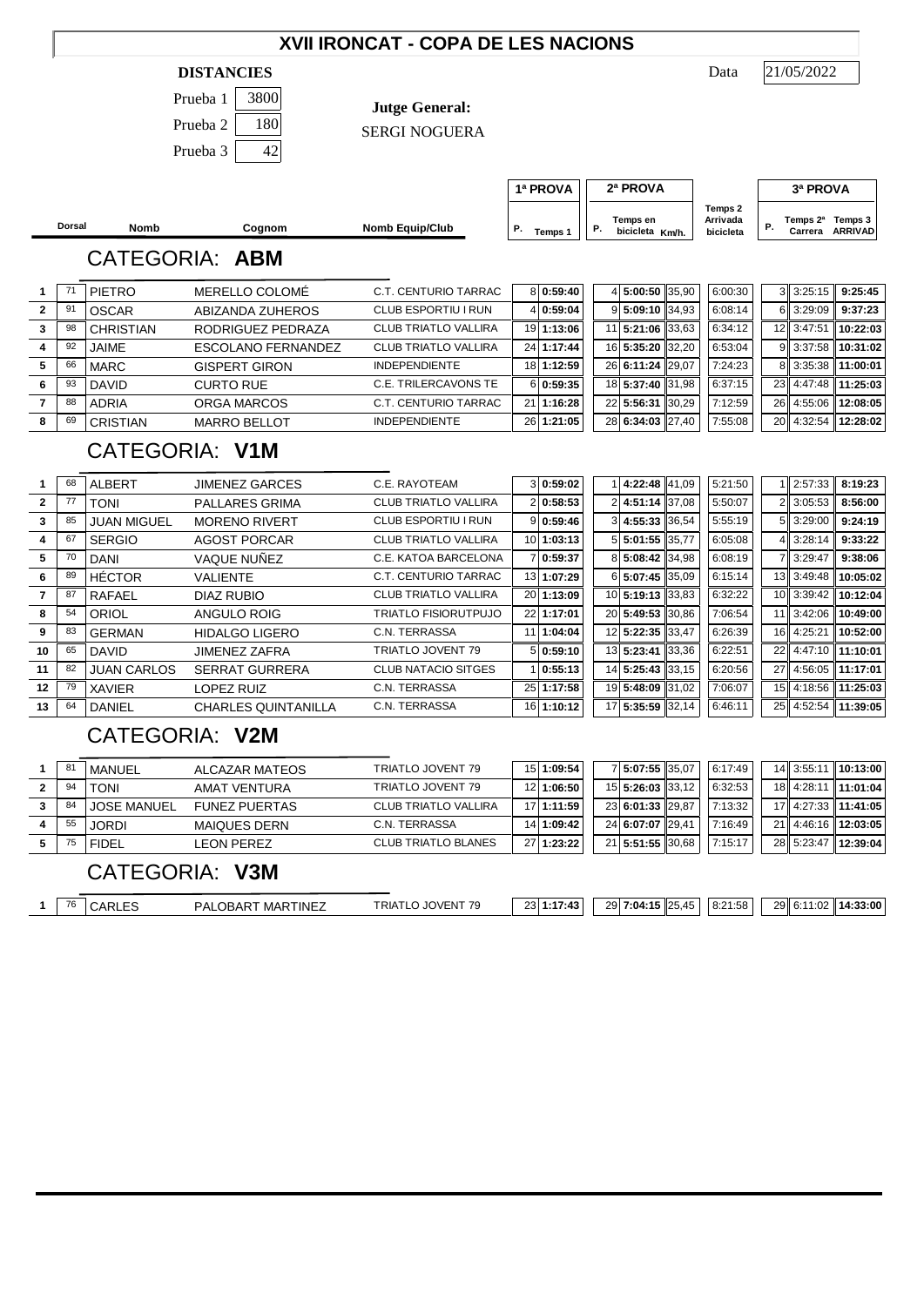## **XVII IRONCAT - COPA DE LES NACIONS**

#### **DISTANCIES** Data

| Prueba 1 | 3800 |
|----------|------|
| Prueba 2 | 180  |
| Prueba 3 | 42   |

**Jutge General:**

SERGI NOGUERA

**Dorsal Nomb Cognom Nomb Equip/Club Temps en Temps 1**  $\begin{bmatrix} P. & \text{bicicleta} & Km/h. \end{bmatrix}$  bicicleta  $\begin{bmatrix} P. & \text{c} \end{bmatrix}$ **Temps 3 Temps 2ª P.** Temps 1 | P. bicicleta Km/h. | bicicleta | <sup>P.</sup> Carrera ARRIVAD **1ª PROVA 2ª PROVA 3ª PROVA Temps 2 Arrivada bicicleta** CATEGORIA: **ABM** 71 PIETRO MERELLO COLOMÉ C.T. CENTURIO TARRAC 8 **0:59:40** 4 **5:00:50** 35,90 6:00:30 3 3:25:15 **9:25:45** 91 OSCAR ABIZANDA ZUHEROS CLUB ESPORTIU I RUN 4 0:59:04 9 5:09:10 34,93 6:08:14 6 3:29:09 9:37:23 98 CHRISTIAN RODRIGUEZ PEDRAZA CLUB TRIATLO VALLIRA 19 **1:13:06** 11 **5:21:06** 33,63 6:34:12 12 3:47:51 **10:22:03** 92 JAIME ESCOLANO FERNANDEZ CLUB TRIATLO VALLIRA 24 **1:17:44** 16 **5:35:20** 32,20 6:53:04 9 3:37:58 **10:31:02** 66 MARC GISPERT GIRON INDEPENDIENTE 18 **1:12:59** 26 **6:11:24** 29,07 7:24:23 8 3:35:38 **11:00:01** 93 DAVID CURTO RUE C.E. TRILERCAVONS TE 6 **0:59:35** 18 **5:37:40** 31,98 6:37:15 23 4:47:48 **11:25:03** 88 ADRIA ORGA MARCOS C.T. CENTURIO TARRAC 21 **1:16:28** 22 **5:56:31** 30,29 7:12:59 26 4:55:06 **12:08:05** 69 CRISTIAN MARRO BELLOT INDEPENDIENTE 26 **1:21:05** 28 **6:34:03** 27,40 7:55:08 20 4:32:54 **12:28:02** CATEGORIA: **V1M** 68 ALBERT JIMENEZ GARCES C.E. RAYOTEAM 3 **0:59:02** 1 **4:22:48** 41,09 5:21:50 1 2:57:33 **8:19:23** 77 TONI PALLARES GRIMA CLUB TRIATLO VALLIRA 2 **0:58:53** 2 **4:51:14** 37,08 5:50:07 2 3:05:53 **8:56:00** 85 JUAN MIGUEL MORENO RIVERT CLUB ESPORTIU I RUN 9 **0:59:46** 3 **4:55:33** 36,54 5:55:19 5 3:29:00 **9:24:19** 67 SERGIO AGOST PORCAR CLUB TRIATLO VALLIRA 10 **1:03:13** 5 **5:01:55** 35,77 6:05:08 4 3:28:14 **9:33:22** 70 DANI VAQUE NUÑEZ C.E. KATOA BARCELONA 7 **0:59:37** 8 **5:08:42** 34,98 6:08:19 7 3:29:47 **9:38:06** 89 HÉCTOR VALIENTE C.T. CENTURIO TARRAC 13 **1:07:29** 6 **5:07:45** 35,09 6:15:14 13 3:49:48 **10:05:02** 87 RAFAEL DIAZ RUBIO CLUB TRIATLO VALLIRA  $\mid$  20 **1:13:09** 1 10 **5:19:13** 33,83 6:32:22 10 3:39:42 10:12:04 54 ORIOL ANGULO ROIG TRIATLO FISIORUTPUJO 22 **1:17:01** 20 **5:49:53** 30,86 7:06:54 11 3:42:06 **10:49:00** 83 GERMAN HIDALGO LIGERO C.N. TERRASSA 11 **1:04:04** 12 **5:22:35** 33,47 6:26:39 16 4:25:21 **10:52:00** 65 DAVID JIMENEZ ZAFRA TRIATLO JOVENT 79 5 **0:59:10** 13 **5:23:41** 33,36 6:22:51 22 4:47:10 **11:10:01** 82 JUAN CARLOS SERRAT GURRERA CLUB NATACIO SITGES 1 **0:55:13** 14 **5:25:43** 33,15 6:20:56 27 4:56:05 **11:17:01** 79 XAVIER LOPEZ RUIZ C.N. TERRASSA 25 **1:17:58** 19 **5:48:09** 31,02 7:06:07 15 4:18:56 **11:25:03** 64 DANIEL CHARLES QUINTANILLA C.N. TERRASSA 16 **1:10:12** 17 **5:35:59** 32,14 6:46:11 25 4:52:54 **11:39:05**

# CATEGORIA: **V2M**

| 8 <sup>1</sup> | MANUEL             | ALCAZAR MATEOS       | TRIATLO JOVENT 79           | 15 1:09:54 | 7 5:07:55 35.07  | 6:17:49 |            | 14 3:55:11 10:13:00 |
|----------------|--------------------|----------------------|-----------------------------|------------|------------------|---------|------------|---------------------|
| 94             | <b>TONI</b>        | AMAT VENTURA         | TRIATLO JOVENT 79           | 12 1:06:50 | 15 5:26:03 33.12 | 6:32:53 |            | 18 4:28:11 11:01:04 |
| 84             | <b>JOSE MANUEL</b> | <b>FUNEZ PUERTAS</b> | <b>CLUB TRIATLO VALLIRA</b> | 17 1:11:59 | 23 6:01:33 29.87 | 7:13:32 |            | 17 4:27:33 11:41:05 |
| 55             | JORDI              | <b>MAIQUES DERN</b>  | C.N. TERRASSA               | 14 1:09:42 | 24 6:07:07 29.41 | 7:16:49 |            | 21 4:46:16 12:03:05 |
|                | <b>FIDEL</b>       | LEON PEREZ           | <b>CLUB TRIATLO BLANES</b>  | 27 1:23:22 | 21 5:51:55 30.68 | 7:15:17 | 28 5:23:47 | 12:39:04            |

# CATEGORIA: **V3M**

| 76 | ៶៲៶∟ | , MARTINEZ<br>.OBAR<br>PΔ | <b>TRIA</b><br><b>'OVEN<sub>1</sub></b><br>11 I<br>,,, | ומח<br>7.12<br>້ | 29<br>7:04:15<br>$\overline{\phantom{a}}$<br>$\overline{A}$<br>4. IJ IZJ.<br>⊶., | $.21 - 58$<br><b></b><br>O.Z<br>$\ldots$ | 29 6:1<br>14:33:00<br>.02 |
|----|------|---------------------------|--------------------------------------------------------|------------------|----------------------------------------------------------------------------------|------------------------------------------|---------------------------|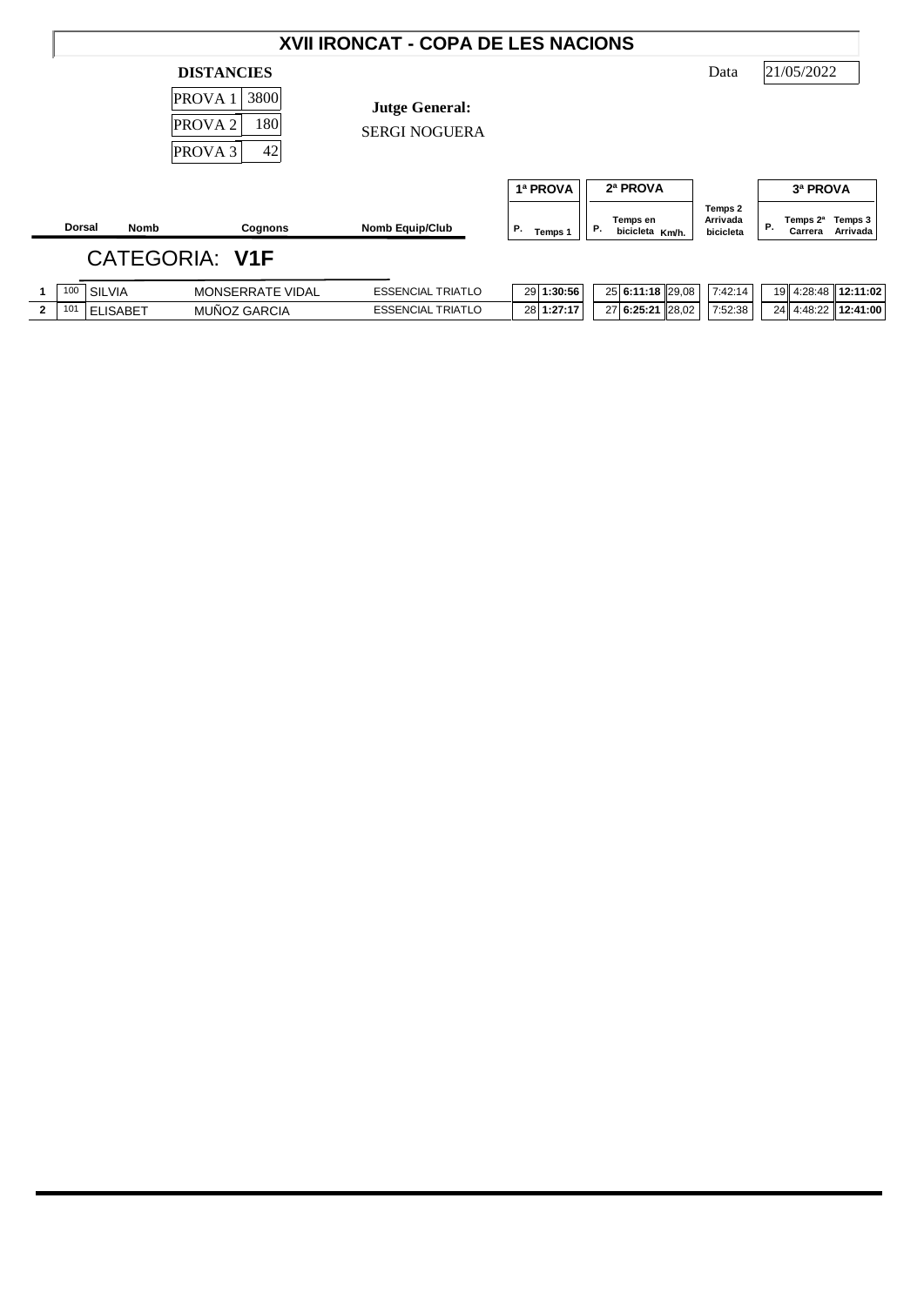|                |                      |                 |                                                                                                            | XVII IRONCAT - COPA DE LES NACIONS            |                           |    |                                         |                                  |           |                                 |                     |
|----------------|----------------------|-----------------|------------------------------------------------------------------------------------------------------------|-----------------------------------------------|---------------------------|----|-----------------------------------------|----------------------------------|-----------|---------------------------------|---------------------|
|                |                      |                 | <b>DISTANCIES</b><br>3800<br><b>PROVA1</b><br><b>180</b><br>PROVA <sub>2</sub><br>42<br>PROVA <sub>3</sub> | <b>Jutge General:</b><br><b>SERGI NOGUERA</b> |                           |    |                                         | Data                             |           | 21/05/2022                      |                     |
|                | <b>Dorsal</b>        | <b>Nomb</b>     | Cognons                                                                                                    | <b>Nomb Equip/Club</b>                        | 1ª PROVA<br>Ρ.<br>Temps 1 | Р. | 2ª PROVA<br>Temps en<br>bicicleta Km/h. | Temps 2<br>Arrivada<br>bicicleta | <b>P.</b> | 3ª PROVA<br>Temps 2ª<br>Carrera | Temps 3<br>Arrivada |
|                |                      |                 | <b>CATEGORIA: V1F</b>                                                                                      |                                               |                           |    |                                         |                                  |           |                                 |                     |
|                | 100<br><b>SILVIA</b> |                 | MONSERRATE VIDAL                                                                                           | <b>ESSENCIAL TRIATLO</b>                      | 29 1:30:56                |    | 25 6:11:18 29,08                        | 7:42:14                          |           |                                 | 19 4:28:48 12:11:02 |
| $\overline{2}$ | 101                  | <b>ELISABET</b> | MUÑOZ GARCIA                                                                                               | <b>ESSENCIAL TRIATLO</b>                      | 28 1:27:17                |    | 27 6:25:21 28,02                        | 7:52:38                          | 24        | 4:48:22                         | 12:41:00            |